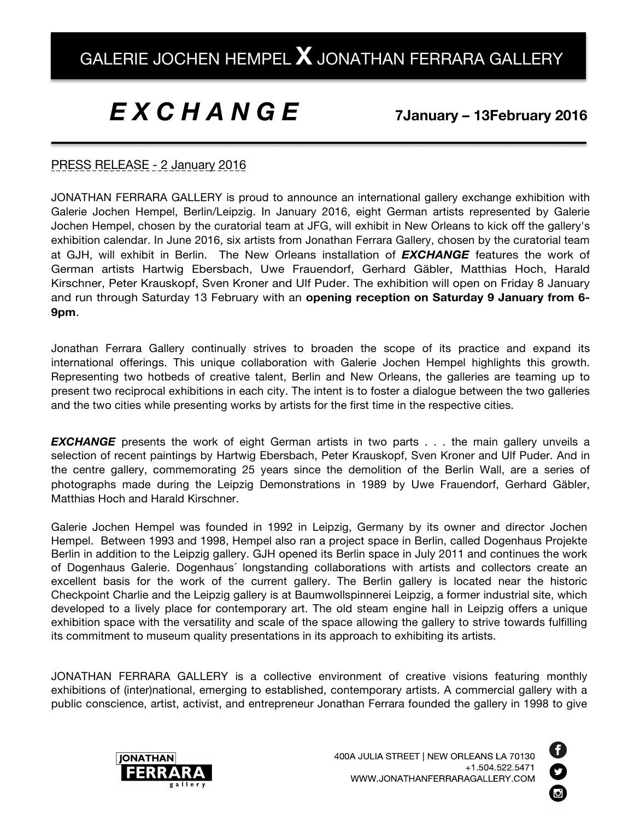## *E X C H A N G E*

## **7January – 13February 2016**

## PRESS RELEASE - 2 January 2016

JONATHAN FERRARA GALLERY is proud to announce an international gallery exchange exhibition with Galerie Jochen Hempel, Berlin/Leipzig. In January 2016, eight German artists represented by Galerie Jochen Hempel, chosen by the curatorial team at JFG, will exhibit in New Orleans to kick off the gallery's exhibition calendar. In June 2016, six artists from Jonathan Ferrara Gallery, chosen by the curatorial team at GJH, will exhibit in Berlin. The New Orleans installation of *EXCHANGE* features the work of German artists Hartwig Ebersbach, Uwe Frauendorf, Gerhard Gäbler, Matthias Hoch, Harald Kirschner, Peter Krauskopf, Sven Kroner and Ulf Puder. The exhibition will open on Friday 8 January and run through Saturday 13 February with an **opening reception on Saturday 9 January from 6- 9pm**.

Jonathan Ferrara Gallery continually strives to broaden the scope of its practice and expand its international offerings. This unique collaboration with Galerie Jochen Hempel highlights this growth. Representing two hotbeds of creative talent, Berlin and New Orleans, the galleries are teaming up to present two reciprocal exhibitions in each city. The intent is to foster a dialogue between the two galleries and the two cities while presenting works by artists for the first time in the respective cities.

**EXCHANGE** presents the work of eight German artists in two parts . . . the main gallery unveils a selection of recent paintings by Hartwig Ebersbach, Peter Krauskopf, Sven Kroner and Ulf Puder. And in the centre gallery, commemorating 25 years since the demolition of the Berlin Wall, are a series of photographs made during the Leipzig Demonstrations in 1989 by Uwe Frauendorf, Gerhard Gäbler, Matthias Hoch and Harald Kirschner.

Galerie Jochen Hempel was founded in 1992 in Leipzig, Germany by its owner and director Jochen Hempel. Between 1993 and 1998, Hempel also ran a project space in Berlin, called Dogenhaus Projekte Berlin in addition to the Leipzig gallery. GJH opened its Berlin space in July 2011 and continues the work of Dogenhaus Galerie. Dogenhaus´ longstanding collaborations with artists and collectors create an excellent basis for the work of the current gallery. The Berlin gallery is located near the historic Checkpoint Charlie and the Leipzig gallery is at Baumwollspinnerei Leipzig, a former industrial site, which developed to a lively place for contemporary art. The old steam engine hall in Leipzig offers a unique exhibition space with the versatility and scale of the space allowing the gallery to strive towards fulfilling its commitment to museum quality presentations in its approach to exhibiting its artists.

JONATHAN FERRARA GALLERY is a collective environment of creative visions featuring monthly exhibitions of (inter)national, emerging to established, contemporary artists. A commercial gallery with a public conscience, artist, activist, and entrepreneur Jonathan Ferrara founded the gallery in 1998 to give